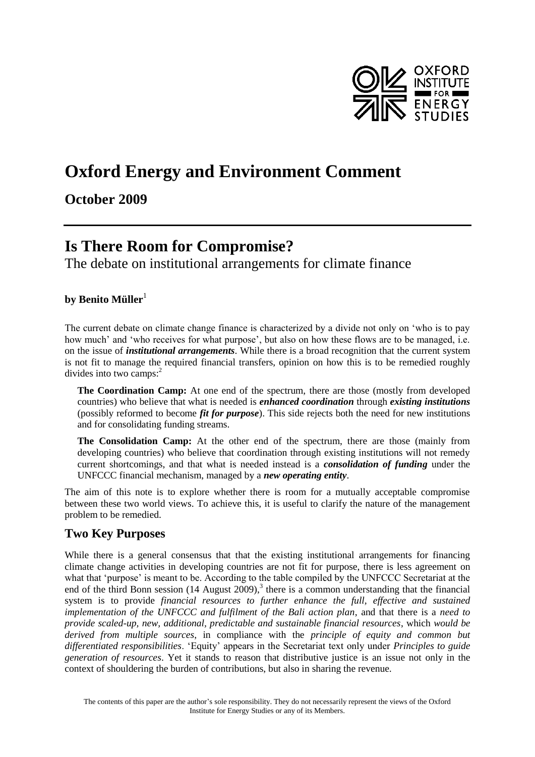

# **Oxford Energy and Environment Comment**

## **October 2009**

## **Is There Room for Compromise?**

The debate on institutional arrangements for climate finance

#### **by Benito Müller**<sup>1</sup>

The current debate on climate change finance is characterized by a divide not only on 'who is to pay how much' and 'who receives for what purpose', but also on how these flows are to be managed, i.e. on the issue of *institutional arrangements*. While there is a broad recognition that the current system is not fit to manage the required financial transfers, opinion on how this is to be remedied roughly divides into two camps: 2

**The Coordination Camp:** At one end of the spectrum, there are those (mostly from developed countries) who believe that what is needed is *enhanced coordination* through *existing institutions* (possibly reformed to become *fit for purpose*). This side rejects both the need for new institutions and for consolidating funding streams.

**The Consolidation Camp:** At the other end of the spectrum, there are those (mainly from developing countries) who believe that coordination through existing institutions will not remedy current shortcomings, and that what is needed instead is a *consolidation of funding* under the UNFCCC financial mechanism, managed by a *new operating entity*.

The aim of this note is to explore whether there is room for a mutually acceptable compromise between these two world views. To achieve this, it is useful to clarify the nature of the management problem to be remedied.

#### **Two Key Purposes**

While there is a general consensus that that the existing institutional arrangements for financing climate change activities in developing countries are not fit for purpose, there is less agreement on what that 'purpose' is meant to be. According to the table compiled by the UNFCCC Secretariat at the end of the third Bonn session (14 August 2009), $3$  there is a common understanding that the financial system is to provide *financial resources to further enhance the full, effective and sustained implementation of the UNFCCC and fulfilment of the Bali action plan*, and that there is a *need to provide scaled-up, new, additional, predictable and sustainable financial resources*, which *would be derived from multiple sources*, in compliance with the *principle of equity and common but differentiated responsibilities*. 'Equity' appears in the Secretariat text only under *Principles to guide generation of resources*. Yet it stands to reason that distributive justice is an issue not only in the context of shouldering the burden of contributions, but also in sharing the revenue.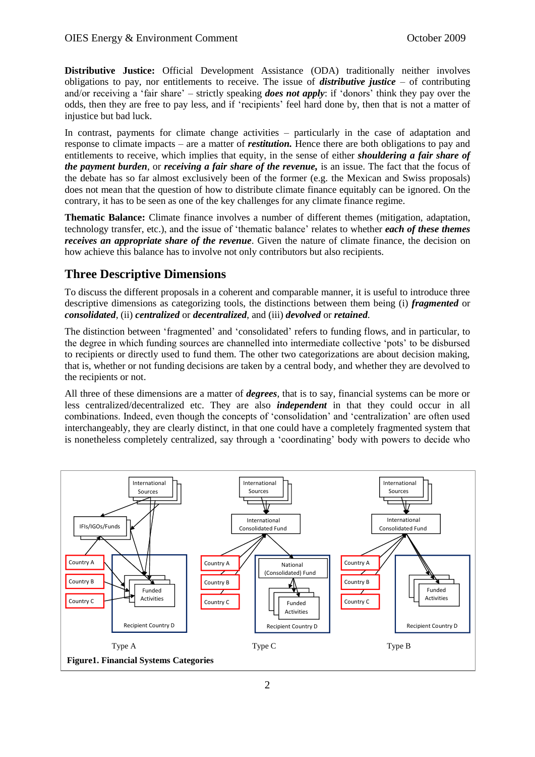**Distributive Justice:** Official Development Assistance (ODA) traditionally neither involves obligations to pay, nor entitlements to receive. The issue of *distributive justice* – of contributing and/or receiving a 'fair share' – strictly speaking *does not apply*: if 'donors' think they pay over the odds, then they are free to pay less, and if 'recipients' feel hard done by, then that is not a matter of injustice but bad luck.

In contrast, payments for climate change activities – particularly in the case of adaptation and response to climate impacts – are a matter of *restitution.* Hence there are both obligations to pay and entitlements to receive, which implies that equity, in the sense of either *shouldering a fair share of the payment burden*, or *receiving a fair share of the revenue,* is an issue. The fact that the focus of the debate has so far almost exclusively been of the former (e.g. the Mexican and Swiss proposals) does not mean that the question of how to distribute climate finance equitably can be ignored. On the contrary, it has to be seen as one of the key challenges for any climate finance regime.

**Thematic Balance:** Climate finance involves a number of different themes (mitigation, adaptation, technology transfer, etc.), and the issue of 'thematic balance' relates to whether *each of these themes receives an appropriate share of the revenue*. Given the nature of climate finance, the decision on how achieve this balance has to involve not only contributors but also recipients.

### **Three Descriptive Dimensions**

To discuss the different proposals in a coherent and comparable manner, it is useful to introduce three descriptive dimensions as categorizing tools, the distinctions between them being (i) *fragmented* or *consolidated*, (ii) *centralized* or *decentralized*, and (iii) *devolved* or *retained*.

The distinction between 'fragmented' and 'consolidated' refers to funding flows, and in particular, to the degree in which funding sources are channelled into intermediate collective 'pots' to be disbursed to recipients or directly used to fund them. The other two categorizations are about decision making, that is, whether or not funding decisions are taken by a central body, and whether they are devolved to the recipients or not.

All three of these dimensions are a matter of *degrees*, that is to say, financial systems can be more or less centralized/decentralized etc. They are also *independent* in that they could occur in all combinations. Indeed, even though the concepts of 'consolidation' and 'centralization' are often used interchangeably, they are clearly distinct, in that one could have a completely fragmented system that is nonetheless completely centralized, say through a 'coordinating' body with powers to decide who

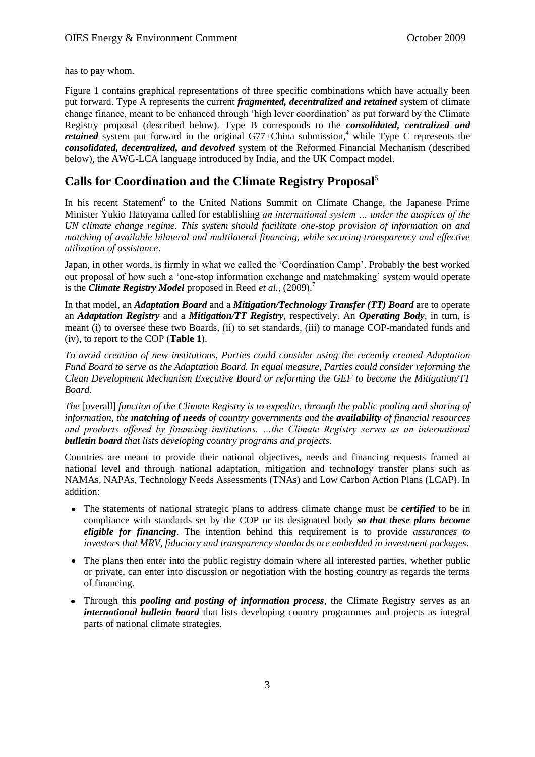has to pay whom.

Figure 1 contains graphical representations of three specific combinations which have actually been put forward. Type A represents the current *fragmented, decentralized and retained* system of climate change finance, meant to be enhanced through 'high lever coordination' as put forward by the Climate Registry proposal (described below). Type B corresponds to the *consolidated, centralized and retained* system put forward in the original G77+China submission,<sup>4</sup> while Type C represents the *consolidated, decentralized, and devolved* system of the Reformed Financial Mechanism (described below), the AWG-LCA language introduced by India, and the UK Compact model.

#### **Calls for Coordination and the Climate Registry Proposal**<sup>5</sup>

In his recent Statement<sup>6</sup> to the United Nations Summit on Climate Change, the Japanese Prime Minister Yukio Hatoyama called for establishing *an international system … under the auspices of the UN climate change regime. This system should facilitate one-stop provision of information on and matching of available bilateral and multilateral financing, while securing transparency and effective utilization of assistance*.

Japan, in other words, is firmly in what we called the 'Coordination Camp'. Probably the best worked out proposal of how such a 'one-stop information exchange and matchmaking' system would operate is the *Climate Registry Model* proposed in Reed *et al.*, (2009).<sup>7</sup>

In that model, an *Adaptation Board* and a *Mitigation/Technology Transfer (TT) Board* are to operate an *Adaptation Registry* and a *Mitigation/TT Registry*, respectively. An *Operating Body*, in turn, is meant (i) to oversee these two Boards, (ii) to set standards, (iii) to manage COP-mandated funds and (iv), to report to the COP (**Table 1**).

*To avoid creation of new institutions, Parties could consider using the recently created Adaptation Fund Board to serve as the Adaptation Board. In equal measure, Parties could consider reforming the Clean Development Mechanism Executive Board or reforming the GEF to become the Mitigation/TT Board.*

*The* [overall] *function of the Climate Registry is to expedite, through the public pooling and sharing of information, the matching of needs of country governments and the availability of financial resources and products offered by financing institutions. …the Climate Registry serves as an international bulletin board that lists developing country programs and projects.*

Countries are meant to provide their national objectives, needs and financing requests framed at national level and through national adaptation, mitigation and technology transfer plans such as NAMAs, NAPAs, Technology Needs Assessments (TNAs) and Low Carbon Action Plans (LCAP). In addition:

- $\bullet$ The statements of national strategic plans to address climate change must be *certified* to be in compliance with standards set by the COP or its designated body *so that these plans become eligible for financing*. The intention behind this requirement is to provide *assurances to investors that MRV, fiduciary and transparency standards are embedded in investment packages*.
- The plans then enter into the public registry domain where all interested parties, whether public or private, can enter into discussion or negotiation with the hosting country as regards the terms of financing.
- Through this *pooling and posting of information process*, the Climate Registry serves as an *international bulletin board* that lists developing country programmes and projects as integral parts of national climate strategies.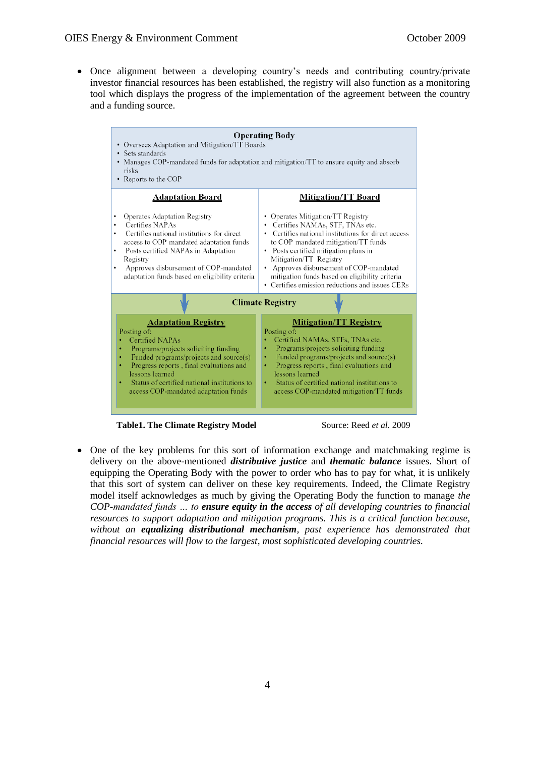Once alignment between a developing country's needs and contributing country/private  $\bullet$ investor financial resources has been established, the registry will also function as a monitoring tool which displays the progress of the implementation of the agreement between the country and a funding source.



**Table1. The Climate Registry Model** Source: Reed *et al.* 2009

One of the key problems for this sort of information exchange and matchmaking regime is delivery on the above-mentioned *distributive justice* and *thematic balance* issues. Short of equipping the Operating Body with the power to order who has to pay for what, it is unlikely that this sort of system can deliver on these key requirements. Indeed, the Climate Registry model itself acknowledges as much by giving the Operating Body the function to manage *the COP-mandated funds … to ensure equity in the access of all developing countries to financial resources to support adaptation and mitigation programs. This is a critical function because, without an equalizing distributional mechanism, past experience has demonstrated that financial resources will flow to the largest, most sophisticated developing countries.*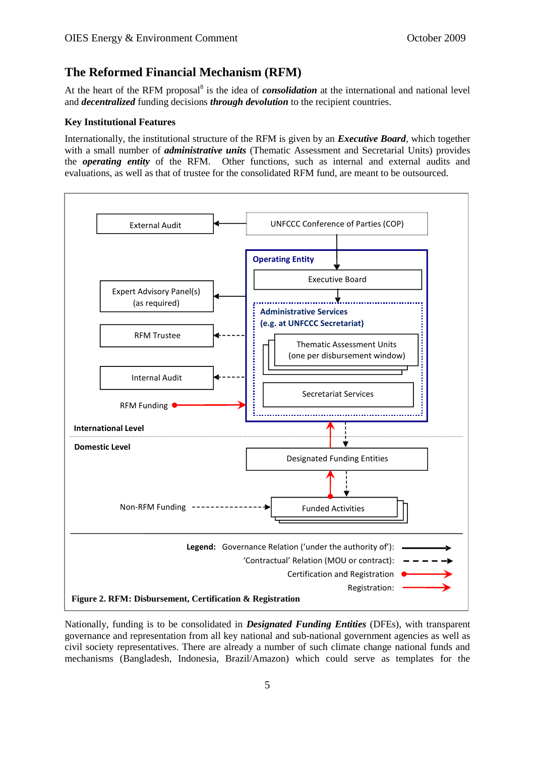#### **The Reformed Financial Mechanism (RFM)**

At the heart of the RFM proposal<sup>8</sup> is the idea of *consolidation* at the international and national level and *decentralized* funding decisions *through devolution* to the recipient countries.

#### **Key Institutional Features**

Internationally, the institutional structure of the RFM is given by an *Executive Board*, which together with a small number of *administrative units* (Thematic Assessment and Secretarial Units) provides the *operating entity* of the RFM. Other functions, such as internal and external audits and evaluations, as well as that of trustee for the consolidated RFM fund, are meant to be outsourced.



Nationally, funding is to be consolidated in *Designated Funding Entities* (DFEs), with transparent governance and representation from all key national and sub-national government agencies as well as civil society representatives. There are already a number of such climate change national funds and mechanisms (Bangladesh, Indonesia, Brazil/Amazon) which could serve as templates for the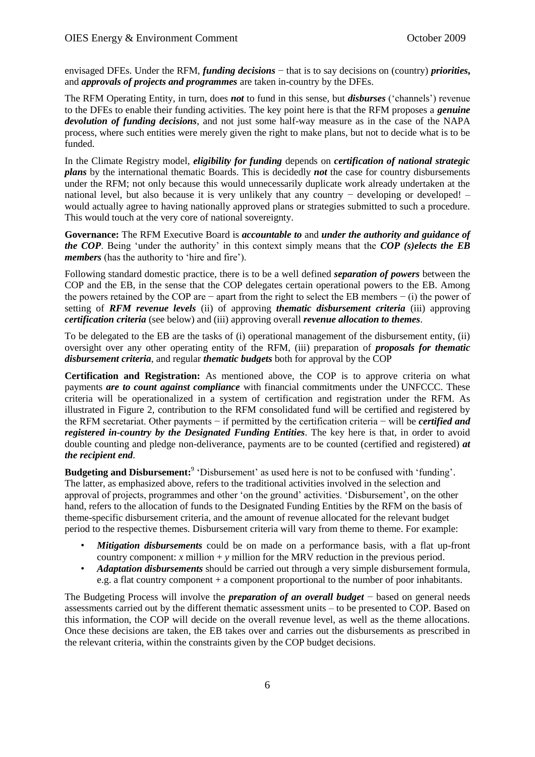envisaged DFEs. Under the RFM, *funding decisions* − that is to say decisions on (country) *priorities***,**  and *approvals of projects and programmes* are taken in-country by the DFEs.

The RFM Operating Entity, in turn, does *not* to fund in this sense, but *disburses* ('channels') revenue to the DFEs to enable their funding activities. The key point here is that the RFM proposes a *genuine devolution of funding decisions*, and not just some half-way measure as in the case of the NAPA process, where such entities were merely given the right to make plans, but not to decide what is to be funded.

In the Climate Registry model, *eligibility for funding* depends on *certification of national strategic plans* by the international thematic Boards. This is decidedly *not* the case for country disbursements under the RFM; not only because this would unnecessarily duplicate work already undertaken at the national level, but also because it is very unlikely that any country – developing or developed! – would actually agree to having nationally approved plans or strategies submitted to such a procedure. This would touch at the very core of national sovereignty.

**Governance:** The RFM Executive Board is *accountable to* and *under the authority and guidance of the COP*. Being 'under the authority' in this context simply means that the *COP (s)elects the EB members* (has the authority to 'hire and fire').

Following standard domestic practice, there is to be a well defined *separation of powers* between the COP and the EB, in the sense that the COP delegates certain operational powers to the EB. Among the powers retained by the COP are − apart from the right to select the EB members − (i) the power of setting of *RFM revenue levels* (ii) of approving *thematic disbursement criteria* (iii) approving *certification criteria* (see below) and (iii) approving overall *revenue allocation to themes*.

To be delegated to the EB are the tasks of (i) operational management of the disbursement entity, (ii) oversight over any other operating entity of the RFM, (iii) preparation of *proposals for thematic disbursement criteria*, and regular *thematic budgets* both for approval by the COP

**Certification and Registration:** As mentioned above, the COP is to approve criteria on what payments *are to count against compliance* with financial commitments under the UNFCCC. These criteria will be operationalized in a system of certification and registration under the RFM. As illustrated in Figure 2, contribution to the RFM consolidated fund will be certified and registered by the RFM secretariat. Other payments − if permitted by the certification criteria − will be *certified and registered in-country by the Designated Funding Entities*. The key here is that, in order to avoid double counting and pledge non-deliverance, payments are to be counted (certified and registered) *at the recipient end*.

**Budgeting and Disbursement:** <sup>9</sup> 'Disbursement' as used here is not to be confused with 'funding'. The latter, as emphasized above, refers to the traditional activities involved in the selection and approval of projects, programmes and other 'on the ground' activities. 'Disbursement', on the other hand, refers to the allocation of funds to the Designated Funding Entities by the RFM on the basis of theme-specific disbursement criteria, and the amount of revenue allocated for the relevant budget period to the respective themes. Disbursement criteria will vary from theme to theme. For example:

- *Mitigation disbursements* could be on made on a performance basis, with a flat up-front country component: *x* million  $+$  *y* million for the MRV reduction in the previous period.
- *Adaptation disbursements* should be carried out through a very simple disbursement formula, e.g. a flat country component + a component proportional to the number of poor inhabitants.

The Budgeting Process will involve the *preparation of an overall budget* − based on general needs assessments carried out by the different thematic assessment units – to be presented to COP. Based on this information, the COP will decide on the overall revenue level, as well as the theme allocations. Once these decisions are taken, the EB takes over and carries out the disbursements as prescribed in the relevant criteria, within the constraints given by the COP budget decisions.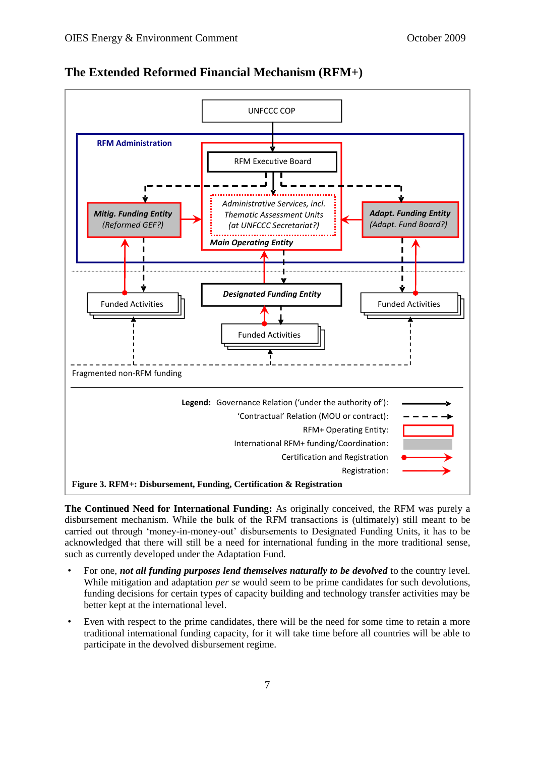

**The Extended Reformed Financial Mechanism (RFM+)**

**The Continued Need for International Funding:** As originally conceived, the RFM was purely a disbursement mechanism. While the bulk of the RFM transactions is (ultimately) still meant to be carried out through 'money-in-money-out' disbursements to Designated Funding Units, it has to be acknowledged that there will still be a need for international funding in the more traditional sense, such as currently developed under the Adaptation Fund.

- For one, *not all funding purposes lend themselves naturally to be devolved* to the country level. While mitigation and adaptation *per se* would seem to be prime candidates for such devolutions, funding decisions for certain types of capacity building and technology transfer activities may be better kept at the international level.
- Even with respect to the prime candidates, there will be the need for some time to retain a more traditional international funding capacity, for it will take time before all countries will be able to participate in the devolved disbursement regime.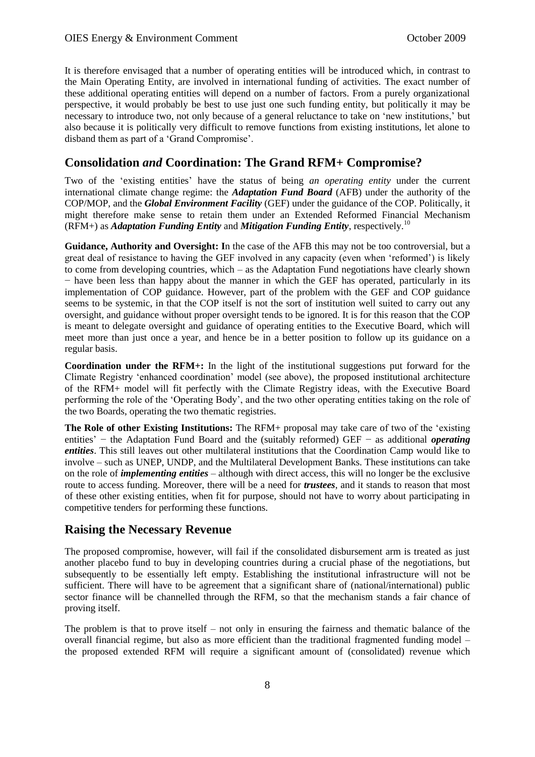It is therefore envisaged that a number of operating entities will be introduced which, in contrast to the Main Operating Entity, are involved in international funding of activities. The exact number of these additional operating entities will depend on a number of factors. From a purely organizational perspective, it would probably be best to use just one such funding entity, but politically it may be necessary to introduce two, not only because of a general reluctance to take on 'new institutions,' but also because it is politically very difficult to remove functions from existing institutions, let alone to disband them as part of a 'Grand Compromise'.

#### **Consolidation** *and* **Coordination: The Grand RFM+ Compromise?**

Two of the 'existing entities' have the status of being *an operating entity* under the current international climate change regime: the *Adaptation Fund Board* (AFB) under the authority of the COP/MOP, and the *Global Environment Facility* (GEF) under the guidance of the COP. Politically, it might therefore make sense to retain them under an Extended Reformed Financial Mechanism (RFM+) as *Adaptation Funding Entity* and *Mitigation Funding Entity*, respectively.<sup>10</sup>

**Guidance, Authority and Oversight: I**n the case of the AFB this may not be too controversial, but a great deal of resistance to having the GEF involved in any capacity (even when 'reformed') is likely to come from developing countries, which – as the Adaptation Fund negotiations have clearly shown − have been less than happy about the manner in which the GEF has operated, particularly in its implementation of COP guidance. However, part of the problem with the GEF and COP guidance seems to be systemic, in that the COP itself is not the sort of institution well suited to carry out any oversight, and guidance without proper oversight tends to be ignored. It is for this reason that the COP is meant to delegate oversight and guidance of operating entities to the Executive Board, which will meet more than just once a year, and hence be in a better position to follow up its guidance on a regular basis.

**Coordination under the RFM+:** In the light of the institutional suggestions put forward for the Climate Registry 'enhanced coordination' model (see above), the proposed institutional architecture of the RFM+ model will fit perfectly with the Climate Registry ideas, with the Executive Board performing the role of the 'Operating Body', and the two other operating entities taking on the role of the two Boards, operating the two thematic registries.

**The Role of other Existing Institutions:** The RFM+ proposal may take care of two of the 'existing entities' − the Adaptation Fund Board and the (suitably reformed) GEF − as additional *operating entities*. This still leaves out other multilateral institutions that the Coordination Camp would like to involve – such as UNEP, UNDP, and the Multilateral Development Banks. These institutions can take on the role of *implementing entities* – although with direct access, this will no longer be the exclusive route to access funding. Moreover, there will be a need for *trustees*, and it stands to reason that most of these other existing entities, when fit for purpose, should not have to worry about participating in competitive tenders for performing these functions.

#### **Raising the Necessary Revenue**

The proposed compromise, however, will fail if the consolidated disbursement arm is treated as just another placebo fund to buy in developing countries during a crucial phase of the negotiations, but subsequently to be essentially left empty. Establishing the institutional infrastructure will not be sufficient. There will have to be agreement that a significant share of (national/international) public sector finance will be channelled through the RFM, so that the mechanism stands a fair chance of proving itself.

The problem is that to prove itself – not only in ensuring the fairness and thematic balance of the overall financial regime, but also as more efficient than the traditional fragmented funding model – the proposed extended RFM will require a significant amount of (consolidated) revenue which